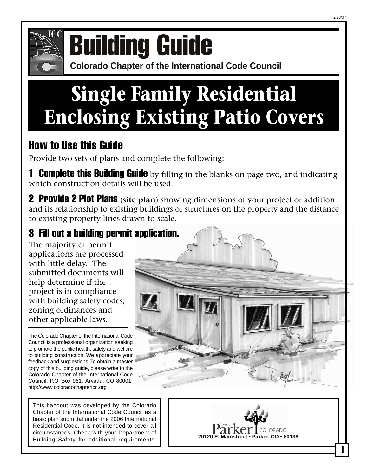



# **COMPONICE COLORATION CONFERENCE OF COLORATION CONFERENCE COLORATION GUIDE**

# **Single Family Residential Enclosing Existing Patio Covers**

# How to Use this Guide

Provide two sets of plans and complete the following:

**1 Complete this Building Guide** by filling in the blanks on page two, and indicating which construction details will be used.

2 Provide 2 Plot Plans (**site plan**) showing dimensions of your project or addition and its relationship to existing buildings or structures on the property and the distance to existing property lines drawn to scale.

# 3 Fill out a building permit application.

The majority of permit applications are processed with little delay. The submitted documents will help determine if the project is in compliance with building safety codes, zoning ordinances and other applicable laws.

The Colorado Chapter of the International Code Council is a professional organization seeking to promote the public health, safety and welfare to building construction. We appreciate your feedback and suggestions. To obtain a master copy of this building guide, please write to the Colorado Chapter of the International Code Council, P.O. Box 961, Arvada, CO 80001. http://www.coloradochaptericc.org

This handout was developed by the Colorado Chapter of the International Code Council as a basic plan submittal under the 2006 International Residential Code. It is not intended to cover all circumstances. Check with your Department of Building Safety for additional requirements.



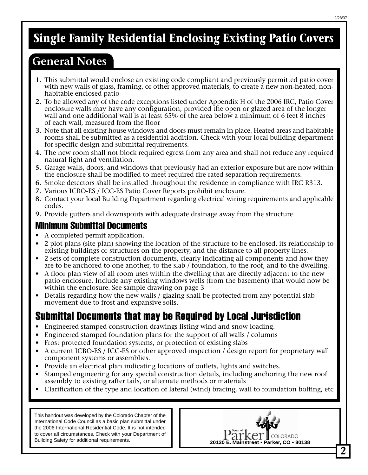# **Single Family Residential Enclosing Existing Patio Covers**

## **General Notes**

- **1.** This submittal would enclose an existing code compliant and previously permitted patio cover with new walls of glass, framing, or other approved materials, to create a new non-heated, nonhabitable enclosed patio
- **2.** To be allowed any of the code exceptions listed under Appendix H of the 2006 IRC, Patio Cover enclosure walls may have any configuration, provided the open or glazed area of the longer wall and one additional wall is at least 65% of the area below a minimum of 6 feet 8 inches of each wall, measured from the floor
- **3.** Note that all existing house windows and doors must remain in place. Heated areas and habitable rooms shall be submitted as a residential addition. Check with your local building department for specific design and submittal requirements.
- **4.** The new room shall not block required egress from any area and shall not reduce any required natural light and ventilation.
- **5.** Garage walls, doors, and windows that previously had an exterior exposure but are now within the enclosure shall be modified to meet required fire rated separation requirements.
- **6.** Smoke detectors shall be installed throughout the residence in compliance with IRC R313.
- **7.** Various ICBO-ES / ICC-ES Patio Cover Reports prohibit enclosure.
- **8.** Contact your local Building Department regarding electrical wiring requirements and applicable codes.
- **9.** Provide gutters and downspouts with adequate drainage away from the structure

#### Minimum Submittal Documents

- A completed permit application.
- 2 plot plans (site plan) showing the location of the structure to be enclosed, its relationship to existing buildings or structures on the property, and the distance to all property lines.
- 2 sets of complete construction documents, clearly indicating all components and how they are to be anchored to one another, to the slab / foundation, to the roof, and to the dwelling.
- A floor plan view of all room uses within the dwelling that are directly adjacent to the new patio enclosure. Include any existing windows wells (from the basement) that would now be within the enclosure. See sample drawing on page 3
- Details regarding how the new walls / glazing shall be protected from any potential slab movement due to frost and expansive soils.

## Submittal Documents that may be Required by Local Jurisdiction

- Engineered stamped construction drawings listing wind and snow loading.
- Engineered stamped foundation plans for the support of all walls / columns
- Frost protected foundation systems, or protection of existing slabs
- A current ICBO-ES / ICC-ES or other approved inspection / design report for proprietary wall component systems or assemblies.
- Provide an electrical plan indicating locations of outlets, lights and switches.
- Stamped engineering for any special construction details, including anchoring the new roof assembly to existing rafter tails, or alternate methods or materials
- Clarification of the type and location of lateral (wind) bracing, wall to foundation bolting, etc

This handout was developed by the Colorado Chapter of the International Code Council as a basic plan submittal under the 2006 International Residential Code. It is not intended to cover all circumstances. Check with your Department of

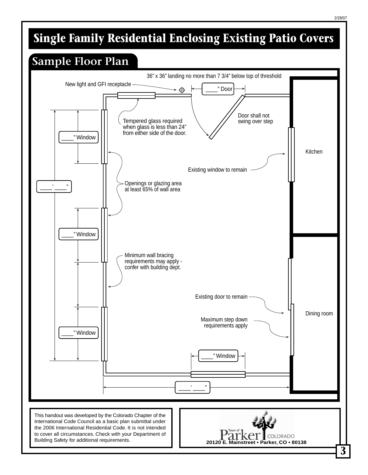# **Single Family Residential Enclosing Existing Patio Covers**

# **Sample Floor Plan**



**3**